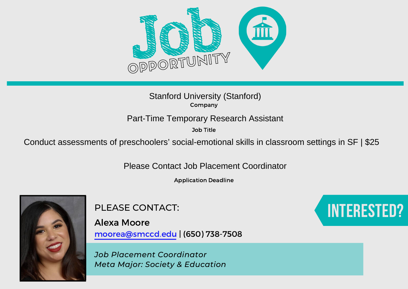

Job Title

Stanford University (Stanford)<br>
Company<br>
Part-Time Temporary Research Assistant<br>
Job Title<br>
Conduct assessments of preschoolers' social-emotional skills in classroom settings in SF | \$25<br>
Please Contact Job Placement Coord

Application Deadline



PLEASE CONTACT:

Alexa Moore moorea@smccd.edu | (650) 738-7508

*Job Placement Coordinator Meta Major: Society & Education*

## Interested?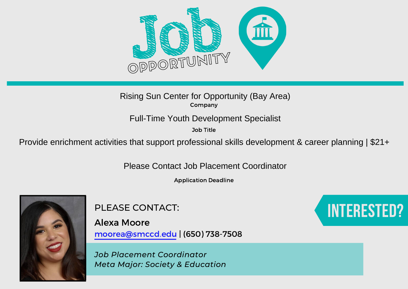

Job Title

Rising Sun Center for Opportunity (Bay Area)<br>
Provide enrichment activities that support professional skills development & career planning | \$21+<br>
Please Contact Job Placement Coordinator

Application Deadline



PLEASE CONTACT:

Alexa Moore moorea@smccd.edu | (650) 738-7508

*Job Placement Coordinator Meta Major: Society & Education*

## Interested?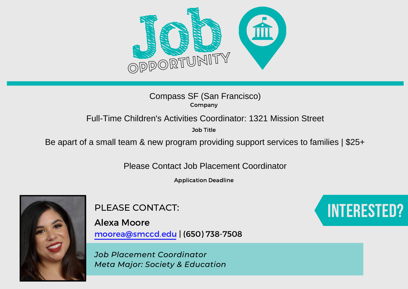

Job Title

# Compass SF (San Francisco)<br>
Company<br>
Full-Time Children's Activities Coordinator: 1321 Mission Street<br>
De apart of a small team & new program providing support services to families | \$25+<br>
Please Contact Job Placement Coor

Application Deadline



PLEASE CONTACT:

Alexa Moore moorea@smccd.edu | (650) 738-7508

*Job Placement Coordinator Meta Major: Society & Education*

## Interested?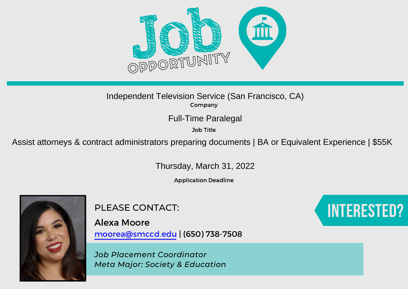

Job Title

Independent Television Service (San Francisco, CA)<br>
Company<br>
Full-Time Paralegal<br>
Job Title<br>
Assist attorneys & contract administrators preparing documents | BA or Equivalent Experience | \$55K<br>
Thursday, March 31, 2022

Application Deadline



PLEASE CONTACT:

Alexa Moore moorea@smccd.edu | (650) 738-7508

*Job Placement Coordinator Meta Major: Society & Education*